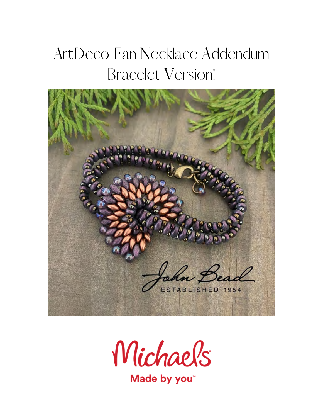## ArtDeco Fan Necklace Addendum Bracelet Version!





Made by you<sup>\*</sup>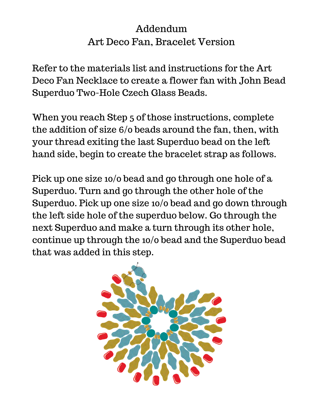## Addendum Art Deco Fan, Bracelet Version

Refer to the materials list and instructions for the Art Deco Fan Necklace to create a flower fan with John Bead Superduo Two-Hole Czech Glass Beads.

When you reach Step 5 of those instructions, complete the addition of size 6/0 beads around the fan, then, with your thread exiting the last Superduo bead on the left hand side, begin to create the bracelet strap as follows.

Pick up one size 10/0 bead and go through one hole of a Superduo. Turn and go through the other hole of the Superduo. Pick up one size 10/0 bead and go down through the left side hole of the superduo below. Go through the next Superduo and make a turn through its other hole, continue up through the 10/0 bead and the Superduo bead that was added in this step.

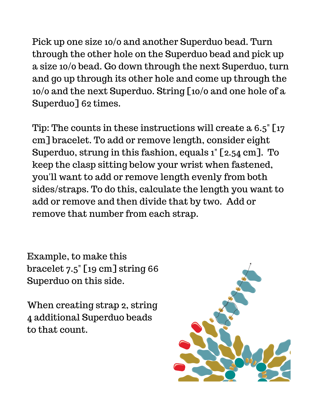Pick up one size 10/0 and another Superduo bead. Turn through the other hole on the Superduo bead and pick up a size 10/0 bead. Go down through the next Superduo, turn and go up through its other hole and come up through the 10/0 and the next Superduo. String [10/0 and one hole of a Superduo] 62 times.

Tip: The counts in these instructions will create a 6.5" [17 cm] bracelet. To add or remove length, consider eight Superduo, strung in this fashion, equals 1" [2.54 cm]. To keep the clasp sitting below your wrist when fastened, you'll want to add or remove length evenly from both sides/straps. To do this, calculate the length you want to add or remove and then divide that by two. Add or remove that number from each strap.

Example, to make this bracelet 7.5" [19 cm] string 66 Superduo on this side.

When creating strap 2, string 4 additional Superduo beads to that count.

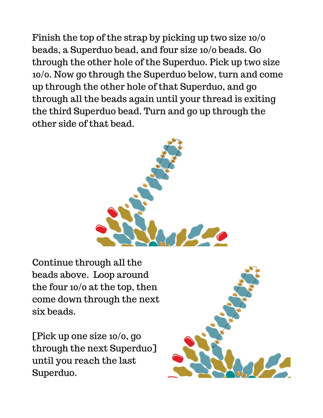Finish the top of the strap by picking up two size 10/0 beads, a Superduo bead, and four size 10/0 beads. Go through the other hole of the Superduo. Pick up two size 10/0. Now go through the Superduo below, turn and come up through the other hole of that Superduo, and go through all the beads again until your thread is exiting the third Superduo bead. Turn and go up through the other side of that bead.



Continue through all the beads above. Loop around the four 10/0 at the top, then come down through the next six beads.

[Pick up one size 10/0, go through the next Superduo] until you reach the last Superduo.

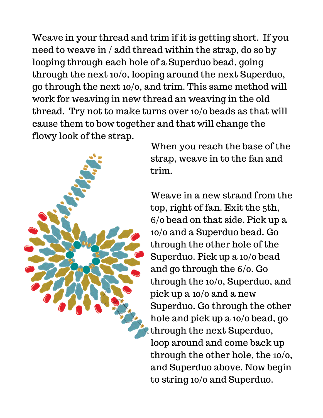Weave in your thread and trim if it is getting short. If you need to weave in / add thread within the strap, do so by looping through each hole of a Superduo bead, going through the next 10/0, looping around the next Superduo, go through the next 10/0, and trim. This same method will work for weaving in new thread an weaving in the old thread. Try not to make turns over 10/0 beads as that will cause them to bow together and that will change the flowy look of the strap.



When you reach the base of the strap, weave in to the fan and trim.

Weave in a new strand from the top, right of fan. Exit the 5th, 6/0 bead on that side. Pick up a 10/0 and a Superduo bead. Go through the other hole of the Superduo. Pick up a 10/0 bead and go through the 6/0. Go through the 10/0, Superduo, and pick up a 10/0 and a new Superduo. Go through the other hole and pick up a 10/0 bead, go through the next Superduo, loop around and come back up through the other hole, the 10/0, and Superduo above. Now begin to string 10/0 and Superduo.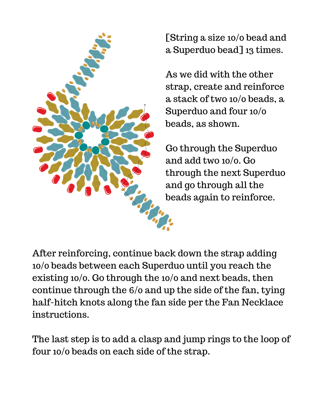

[String a size 10/0 bead and a Superduo bead] 13 times.

As we did with the other strap, create and reinforce a stack of two 10/0 beads, a Superduo and four 10/0 beads, as shown.

Go through the Superduo and add two 10/0. Go through the next Superduo and go through all the beads again to reinforce.

After reinforcing, continue back down the strap adding 10/0 beads between each Superduo until you reach the existing 10/0. Go through the 10/0 and next beads, then continue through the 6/0 and up the side of the fan, tying half-hitch knots along the fan side per the Fan Necklace instructions.

The last step is to add a clasp and jump rings to the loop of four 10/0 beads on each side of the strap.